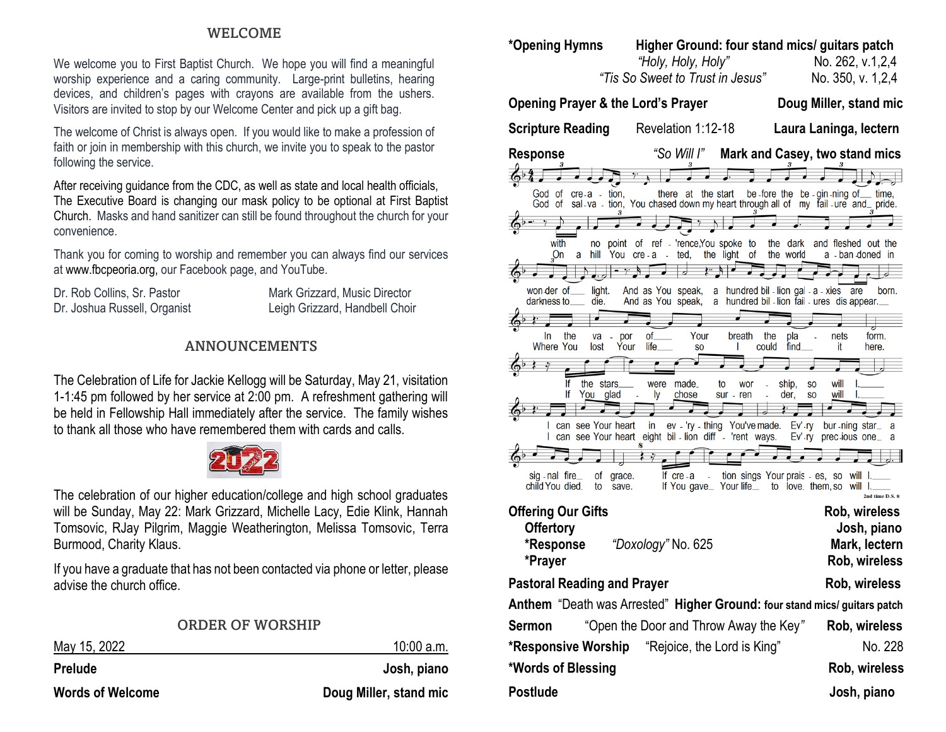### WELCOME

We welcome you to First Baptist Church. We hope you will find a meaningful worship experience and a caring community. Large-print bulletins, hearing devices, and children's pages with crayons are available from the ushers. Visitors are invited to stop by our Welcome Center and pick up a gift bag.

The welcome of Christ is always open. If you would like to make a profession of faith or join in membership with this church, we invite you to speak to the pastor following the service.

After receiving guidance from the CDC, as well as state and local health officials, The Executive Board is changing our mask policy to be optional at First Baptist Church. Masks and hand sanitizer can still be found throughout the church for your convenience.

Thank you for coming to worship and remember you can always find our services at [www.fbcpeoria.org,](http://www.fbcpeoria.org/) our Facebook page, and YouTube.

| Dr. Rob Collins, Sr. Pastor  | Mark Grizzard, Music Director  |
|------------------------------|--------------------------------|
| Dr. Joshua Russell, Organist | Leigh Grizzard, Handbell Choir |

## ANNOUNCEMENTS

The Celebration of Life for Jackie Kellogg will be Saturday, May 21, visitation 1-1:45 pm followed by her service at 2:00 pm. A refreshment gathering will be held in Fellowship Hall immediately after the service. The family wishes to thank all those who have remembered them with cards and calls.



The celebration of our higher education/college and high school graduates will be Sunday, May 22: Mark Grizzard, Michelle Lacy, Edie Klink, Hannah Tomsovic, RJay Pilgrim, Maggie Weatherington, Melissa Tomsovic, Terra Burmood, Charity Klaus.

If you have a graduate that has not been contacted via phone or letter, please advise the church office.

| ORDER OF WORSHIP |  |  |  |
|------------------|--|--|--|
|------------------|--|--|--|

| May 15, 2022            | 10:00 a.m.             |
|-------------------------|------------------------|
| <b>Prelude</b>          | Josh, piano            |
| <b>Words of Welcome</b> | Doug Miller, stand mic |

| *Opening Hymns                                                            | Higher Ground: four stand mics/ guitars patch<br>"Holy, Holy, Holy"                                  |                                             |                                                   | No. 262, v.1, 2, 4                                |                 |
|---------------------------------------------------------------------------|------------------------------------------------------------------------------------------------------|---------------------------------------------|---------------------------------------------------|---------------------------------------------------|-----------------|
|                                                                           | "Tis So Sweet to Trust in Jesus"                                                                     |                                             |                                                   | No. 350, v. 1,2,4                                 |                 |
| <b>Opening Prayer &amp; the Lord's Prayer</b>                             |                                                                                                      |                                             |                                                   | Doug Miller, stand mic                            |                 |
| <b>Scripture Reading</b>                                                  | Revelation 1:12-18                                                                                   |                                             |                                                   | Laura Laninga, lectern                            |                 |
| <b>Response</b>                                                           | "So Will I"                                                                                          | Mark and Casey, two stand mics              |                                                   |                                                   |                 |
|                                                                           |                                                                                                      |                                             |                                                   |                                                   |                 |
| God of<br>$cre-a - tion.$<br>God of                                       | there at the start<br>sal-va - tion, You chased down my heart through all of my fail-ure and_ pride. |                                             | be fore the                                       | be - gin -ning of                                 | _ time.         |
|                                                                           |                                                                                                      |                                             |                                                   |                                                   |                 |
| with<br>no<br>hill<br>$\int_{3}$ On<br>You<br>a                           | point of ref - 'rence, You spoke to<br>ted,<br>cre - a                                               | the light<br>οf                             | the dark<br>the world                             | and fleshed out the<br>a - ban doned in           |                 |
|                                                                           | ł.                                                                                                   |                                             |                                                   |                                                   |                 |
| won-der of<br>light.<br>darkness to<br>die.                               | And as You speak,<br>And as You speak,                                                               | hundred bil - lion gal - a - xies<br>a<br>a |                                                   | are<br>hundred bil - lion fail - ures dis appear. | born.           |
| the                                                                       | οf.                                                                                                  |                                             |                                                   |                                                   | form.           |
| In<br>va<br>por<br>Where You<br>lost<br>Your                              | Your<br>life<br>SO                                                                                   | breath<br>the<br>I<br>could                 | pla<br>find                                       | nets<br>it                                        | here.           |
|                                                                           |                                                                                                      |                                             |                                                   |                                                   |                 |
| the stars<br>lf<br>lf<br>You<br>glad                                      | made_<br>were<br>lу<br>chose                                                                         | to<br>wor<br>sur - ren                      | ship,<br>S <sub>O</sub><br>der,<br>S <sub>O</sub> | will<br>will                                      |                 |
| can see Your heart<br>L                                                   | in                                                                                                   | ev - 'ry - thing You've made.               | Ev'-ry                                            | $bur$ -ning star                                  | а               |
|                                                                           | I can see Your heart eight bil - lion diff - 'rent ways.                                             |                                             | Ev'-ry                                            | prec-ious one                                     | a               |
| sig - nal fire_<br>οf<br>grace.                                           | If cre-a                                                                                             | tion sings Your prais - es, so              |                                                   | will I.                                           |                 |
| child You died.<br>to<br>save.                                            | If You gave_                                                                                         | Your life_                                  | to love them, so                                  | will I.                                           | 2nd time D.S. & |
| <b>Offering Our Gifts</b>                                                 |                                                                                                      |                                             |                                                   | Rob, wireless                                     |                 |
| <b>Offertory</b><br>*Response                                             | "Doxology" No. 625                                                                                   |                                             |                                                   | Mark, lectern                                     | Josh, piano     |
| *Prayer                                                                   |                                                                                                      |                                             |                                                   | Rob, wireless                                     |                 |
| <b>Pastoral Reading and Prayer</b>                                        |                                                                                                      |                                             |                                                   | Rob, wireless                                     |                 |
| Anthem "Death was Arrested" Higher Ground: four stand mics/ guitars patch |                                                                                                      |                                             |                                                   |                                                   |                 |
| <b>Sermon</b>                                                             | "Open the Door and Throw Away the Key"                                                               |                                             |                                                   | Rob, wireless                                     |                 |
| <b>*Responsive Worship</b> "Rejoice, the Lord is King"                    |                                                                                                      |                                             |                                                   |                                                   | No. 228         |
| *Words of Blessing                                                        |                                                                                                      |                                             |                                                   | Rob, wireless                                     |                 |
| <b>Postlude</b>                                                           |                                                                                                      |                                             |                                                   | Josh, piano                                       |                 |